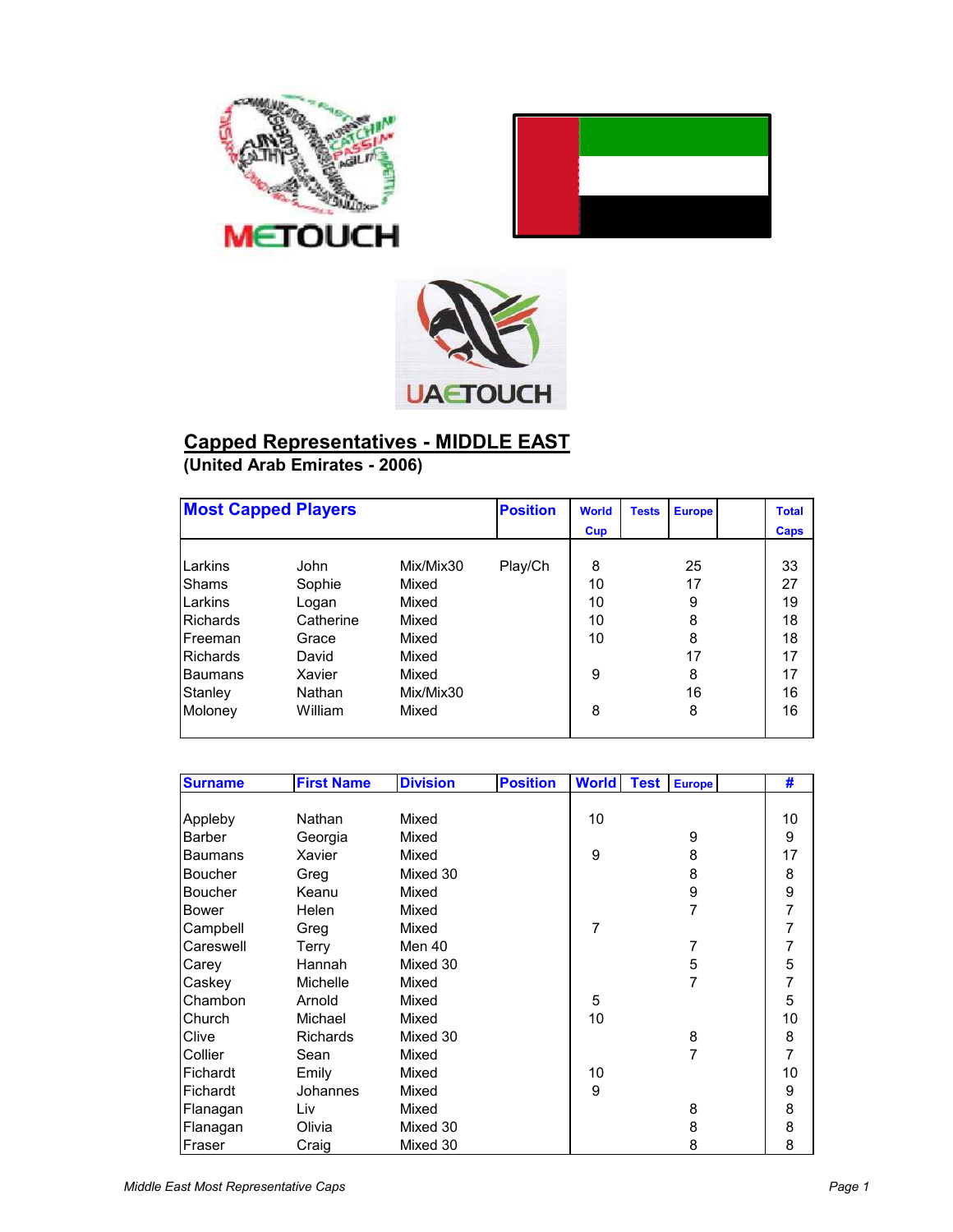





## **Capped Representatives - MIDDLE EAST (United Arab Emirates - 2006)**

|                 | <b>Most Capped Players</b> |           | <b>Position</b> | <b>World</b> | <b>Tests</b> | <b>Europe</b> | <b>Total</b> |
|-----------------|----------------------------|-----------|-----------------|--------------|--------------|---------------|--------------|
|                 |                            |           |                 | Cup          |              |               | Caps         |
|                 |                            |           |                 |              |              |               |              |
| Larkins         | John                       | Mix/Mix30 | Play/Ch         | 8            |              | 25            | 33           |
| <b>Shams</b>    | Sophie                     | Mixed     |                 | 10           |              | 17            | 27           |
| Larkins         | Logan                      | Mixed     |                 | 10           |              | 9             | 19           |
| <b>Richards</b> | Catherine                  | Mixed     |                 | 10           |              | 8             | 18           |
| Freeman         | Grace                      | Mixed     |                 | 10           |              | 8             | 18           |
| <b>Richards</b> | David                      | Mixed     |                 |              |              | 17            | 17           |
| <b>Baumans</b>  | Xavier                     | Mixed     |                 | 9            |              | 8             | 17           |
| Stanley         | Nathan                     | Mix/Mix30 |                 |              |              | 16            | 16           |
| Moloney         | William                    | Mixed     |                 | 8            |              | 8             | 16           |

| <b>Surname</b> | <b>First Name</b> | <b>Division</b> | <b>Position</b> | <b>World</b> | <b>Test</b> | <b>Europe</b> | #              |
|----------------|-------------------|-----------------|-----------------|--------------|-------------|---------------|----------------|
|                |                   |                 |                 |              |             |               |                |
| Appleby        | Nathan            | Mixed           |                 | 10           |             |               | 10             |
| <b>Barber</b>  | Georgia           | Mixed           |                 |              |             | 9             | 9              |
| <b>Baumans</b> | Xavier            | Mixed           |                 | 9            |             | 8             | 17             |
| Boucher        | Greg              | Mixed 30        |                 |              |             | 8             | 8              |
| <b>Boucher</b> | Keanu             | Mixed           |                 |              |             | 9             | $\frac{9}{7}$  |
| <b>Bower</b>   | Helen             | Mixed           |                 |              |             | 7             |                |
| Campbell       | Greg              | Mixed           |                 | 7            |             |               | $\overline{7}$ |
| Careswell      | <b>Terry</b>      | Men 40          |                 |              |             | 7             | $\overline{7}$ |
| Carey          | Hannah            | Mixed 30        |                 |              |             | 5             | 5              |
| Caskey         | Michelle          | Mixed           |                 |              |             | 7             | $\overline{7}$ |
| Chambon        | Arnold            | Mixed           |                 | 5            |             |               | 5              |
| Church         | Michael           | Mixed           |                 | 10           |             |               | 10             |
| Clive          | <b>Richards</b>   | Mixed 30        |                 |              |             | 8             | 8              |
| Collier        | Sean              | Mixed           |                 |              |             | 7             | $\overline{7}$ |
| Fichardt       | Emily             | Mixed           |                 | 10           |             |               | 10             |
| Fichardt       | Johannes          | Mixed           |                 | 9            |             |               | 9              |
| Flanagan       | Liv               | Mixed           |                 |              |             | 8             | 8              |
| Flanagan       | Olivia            | Mixed 30        |                 |              |             | 8             | 8              |
| Fraser         | Craig             | Mixed 30        |                 |              |             | 8             | 8              |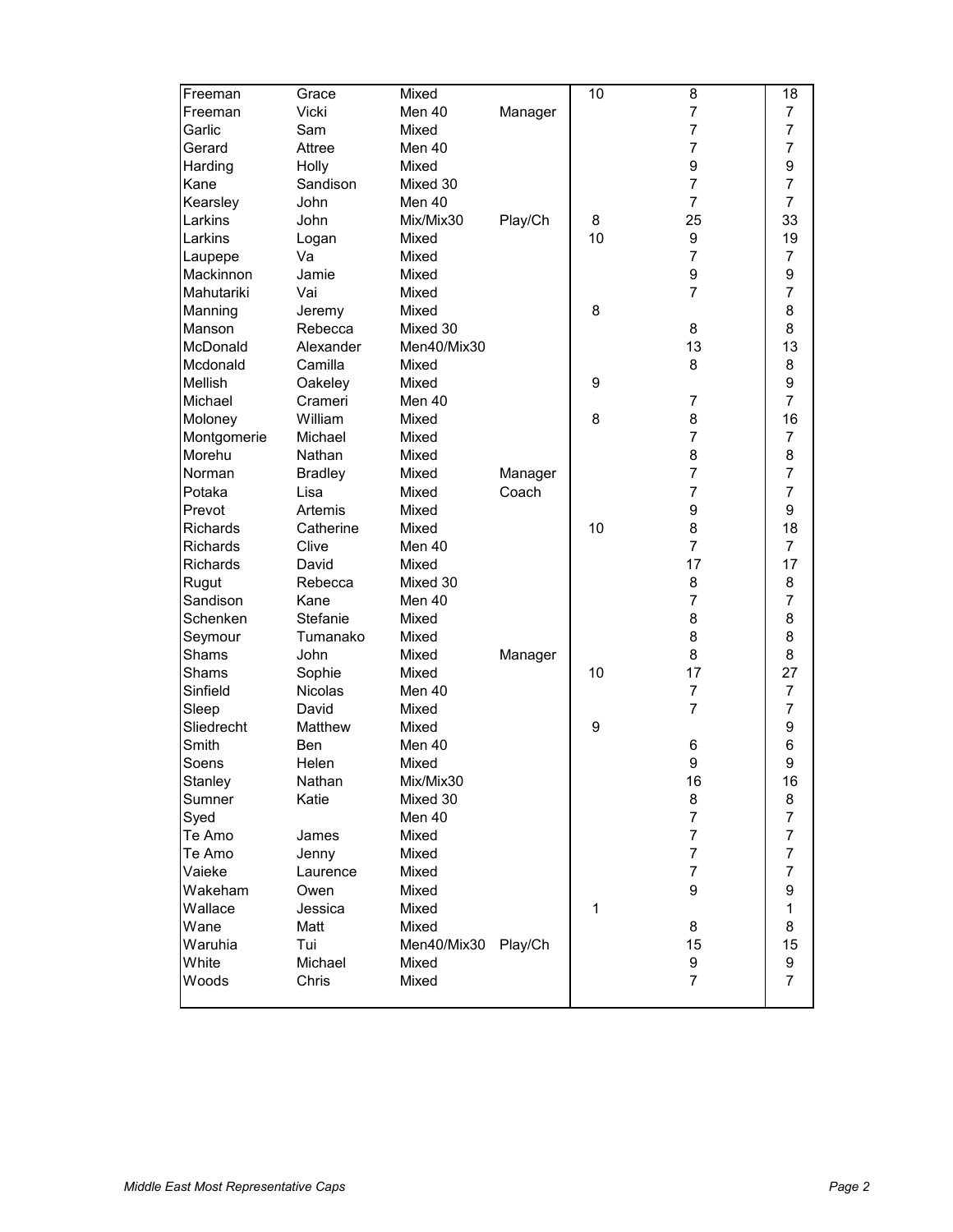| Freeman         | Grace          | Mixed       |         | 10           | 8              | 18                       |
|-----------------|----------------|-------------|---------|--------------|----------------|--------------------------|
| Freeman         | Vicki          | Men 40      | Manager |              | $\overline{7}$ | 7                        |
| Garlic          | Sam            | Mixed       |         |              | 7              | $\overline{7}$           |
| Gerard          | Attree         | Men 40      |         |              | $\overline{7}$ | $\overline{7}$           |
| Harding         | Holly          | Mixed       |         |              | 9              | 9                        |
| Kane            | Sandison       | Mixed 30    |         |              | $\overline{7}$ | $\overline{7}$           |
| Kearsley        | John           | Men 40      |         |              | $\overline{7}$ | $\overline{7}$           |
| Larkins         | John           | Mix/Mix30   | Play/Ch | 8            | 25             | 33                       |
| Larkins         | Logan          | Mixed       |         | 10           | 9              | 19                       |
| Laupepe         | Va             | Mixed       |         |              | $\overline{7}$ | $\overline{7}$           |
| Mackinnon       | Jamie          | Mixed       |         |              | 9              | 9                        |
| Mahutariki      | Vai            | Mixed       |         |              | $\overline{7}$ | $\overline{7}$           |
| Manning         | Jeremy         | Mixed       |         | 8            |                | 8                        |
| Manson          | Rebecca        | Mixed 30    |         |              | 8              | 8                        |
| McDonald        | Alexander      | Men40/Mix30 |         |              | 13             | 13                       |
| Mcdonald        | Camilla        | Mixed       |         |              | 8              | 8                        |
| Mellish         | Oakeley        | Mixed       |         | 9            |                | 9                        |
| Michael         | Crameri        | Men 40      |         |              | $\overline{7}$ | $\overline{7}$           |
| Moloney         | William        | Mixed       |         | 8            | 8              | 16                       |
| Montgomerie     | Michael        | Mixed       |         |              | $\overline{7}$ | $\overline{7}$           |
| Morehu          | Nathan         | Mixed       |         |              | 8              | 8                        |
| Norman          | <b>Bradley</b> | Mixed       | Manager |              | $\overline{7}$ | $\overline{7}$           |
| Potaka          | Lisa           | Mixed       | Coach   |              | $\overline{7}$ | $\overline{7}$           |
| Prevot          | Artemis        | Mixed       |         |              | 9              | 9                        |
| <b>Richards</b> | Catherine      | Mixed       |         | 10           | 8              | 18                       |
| <b>Richards</b> | Clive          | Men 40      |         |              | $\overline{7}$ | $\overline{7}$           |
| <b>Richards</b> | David          | Mixed       |         |              | 17             | 17                       |
| Rugut           | Rebecca        | Mixed 30    |         |              | 8              | 8                        |
| Sandison        | Kane           | Men 40      |         |              | $\overline{7}$ | $\overline{7}$           |
| Schenken        | Stefanie       | Mixed       |         |              | 8              | 8                        |
| Seymour         | Tumanako       | Mixed       |         |              | 8              | 8                        |
| Shams           | John           | Mixed       | Manager |              | 8              | 8                        |
| Shams           | Sophie         | Mixed       |         | 10           | 17             | 27                       |
| Sinfield        | <b>Nicolas</b> | Men 40      |         |              | $\overline{7}$ | $\overline{7}$           |
| Sleep           | David          | Mixed       |         |              | $\overline{7}$ | $\overline{7}$           |
| Sliedrecht      | Matthew        | Mixed       |         | 9            |                | 9                        |
| Smith           | Ben            | Men 40      |         |              | 6              | 6                        |
| Soens           | Helen          | Mixed       |         |              | 9              | 9                        |
| Stanley         | Nathan         | Mix/Mix30   |         |              | 16             | 16                       |
| Sumner          | Katie          | Mixed 30    |         |              | 8              | 8                        |
| Syed            |                | Men 40      |         |              | $\overline{7}$ | $\overline{7}$           |
| Te Amo          | James          | Mixed       |         |              | $\overline{7}$ | $\overline{\mathcal{I}}$ |
| Te Amo          | Jenny          | Mixed       |         |              | $\overline{7}$ | $\overline{7}$           |
| Vaieke          | Laurence       | Mixed       |         |              | $\overline{7}$ | $\overline{7}$           |
| Wakeham         | Owen           | Mixed       |         |              | 9              | 9                        |
| Wallace         | Jessica        | Mixed       |         | $\mathbf{1}$ |                | $\mathbf{1}$             |
| Wane            | Matt           | Mixed       |         |              | 8              | 8                        |
| Waruhia         | Tui            | Men40/Mix30 | Play/Ch |              | 15             | 15                       |
| White           | Michael        | Mixed       |         |              | 9              | 9                        |
| Woods           | Chris          | Mixed       |         |              | $\overline{7}$ | $\overline{7}$           |
|                 |                |             |         |              |                |                          |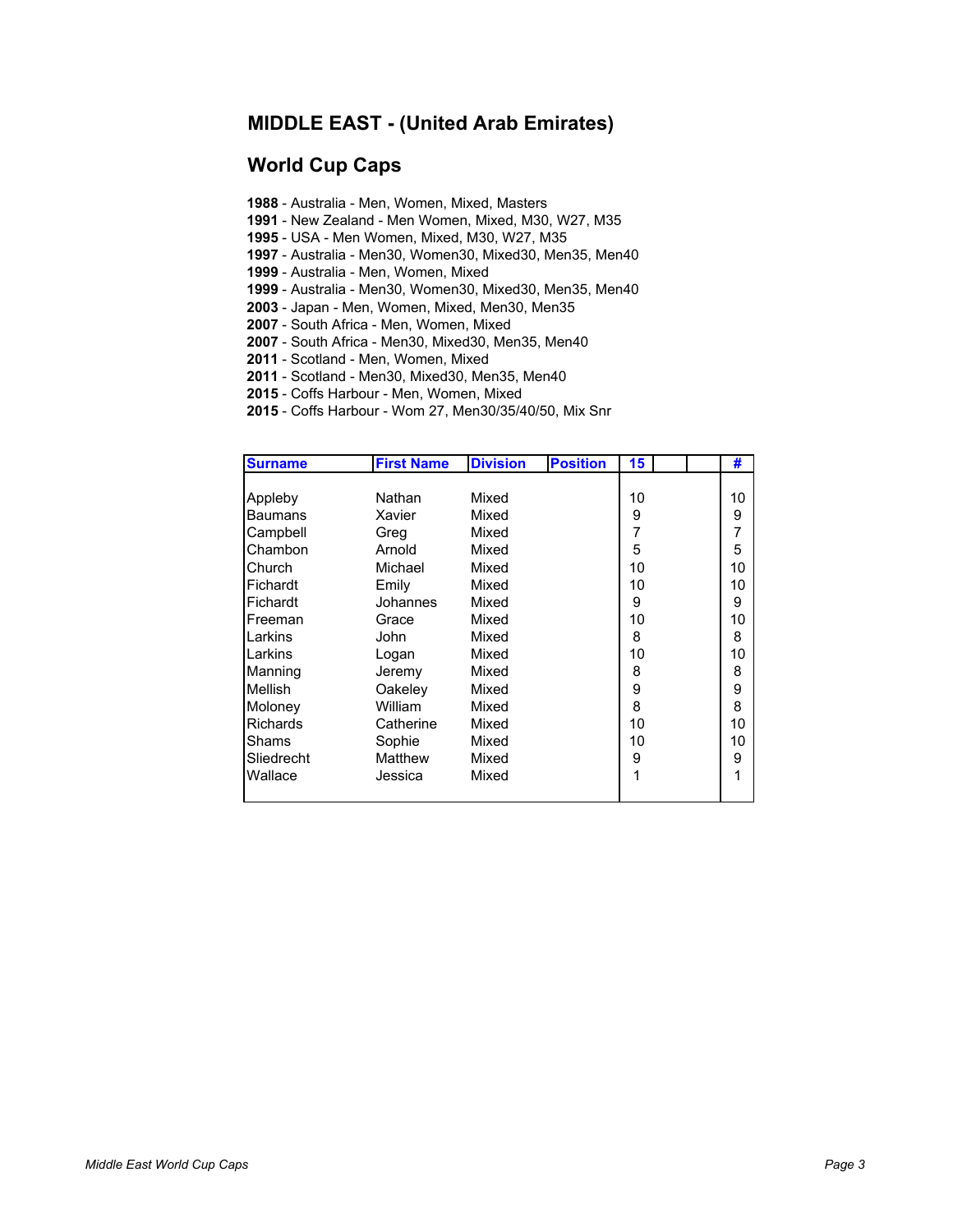#### **MIDDLE EAST - (United Arab Emirates)**

#### **World Cup Caps**

- **1988** Australia Men, Women, Mixed, Masters
- **1991** New Zealand Men Women, Mixed, M30, W27, M35
- **1995** USA Men Women, Mixed, M30, W27, M35
- **1997** Australia Men30, Women30, Mixed30, Men35, Men40
- **1999** Australia Men, Women, Mixed
- **1999** Australia Men30, Women30, Mixed30, Men35, Men40
- **2003** Japan Men, Women, Mixed, Men30, Men35
- **2007** South Africa Men, Women, Mixed
- **2007** South Africa Men30, Mixed30, Men35, Men40
- **2011**  Scotland Men, Women, Mixed
- **2011** Scotland Men30, Mixed30, Men35, Men40
- **2015** Coffs Harbour Men, Women, Mixed
- **2015** Coffs Harbour Wom 27, Men30/35/40/50, Mix Snr

| <b>Surname</b>  | <b>First Name</b> | <b>Division</b> | <b>Position</b> | 15 | #  |
|-----------------|-------------------|-----------------|-----------------|----|----|
|                 |                   |                 |                 |    |    |
| Appleby         | Nathan            | Mixed           |                 | 10 | 10 |
| Baumans         | Xavier            | Mixed           |                 | 9  | 9  |
| Campbell        | Greg              | Mixed           |                 | 7  | 7  |
| Chambon         | Arnold            | Mixed           |                 | 5  | 5  |
| Church          | Michael           | Mixed           |                 | 10 | 10 |
| Fichardt        | Emily             | Mixed           |                 | 10 | 10 |
| Fichardt        | Johannes          | Mixed           |                 | 9  | 9  |
| Freeman         | Grace             | Mixed           |                 | 10 | 10 |
| Larkins         | John              | Mixed           |                 | 8  | 8  |
| Larkins         | Logan             | Mixed           |                 | 10 | 10 |
| Manning         | Jeremy            | Mixed           |                 | 8  | 8  |
| Mellish         | Oakeley           | Mixed           |                 | 9  | 9  |
| Moloney         | William           | Mixed           |                 | 8  | 8  |
| <b>Richards</b> | Catherine         | Mixed           |                 | 10 | 10 |
| Shams           | Sophie            | Mixed           |                 | 10 | 10 |
| Sliedrecht      | Matthew           | Mixed           |                 | 9  | 9  |
| Wallace         | Jessica           | Mixed           |                 | 1  |    |
|                 |                   |                 |                 |    |    |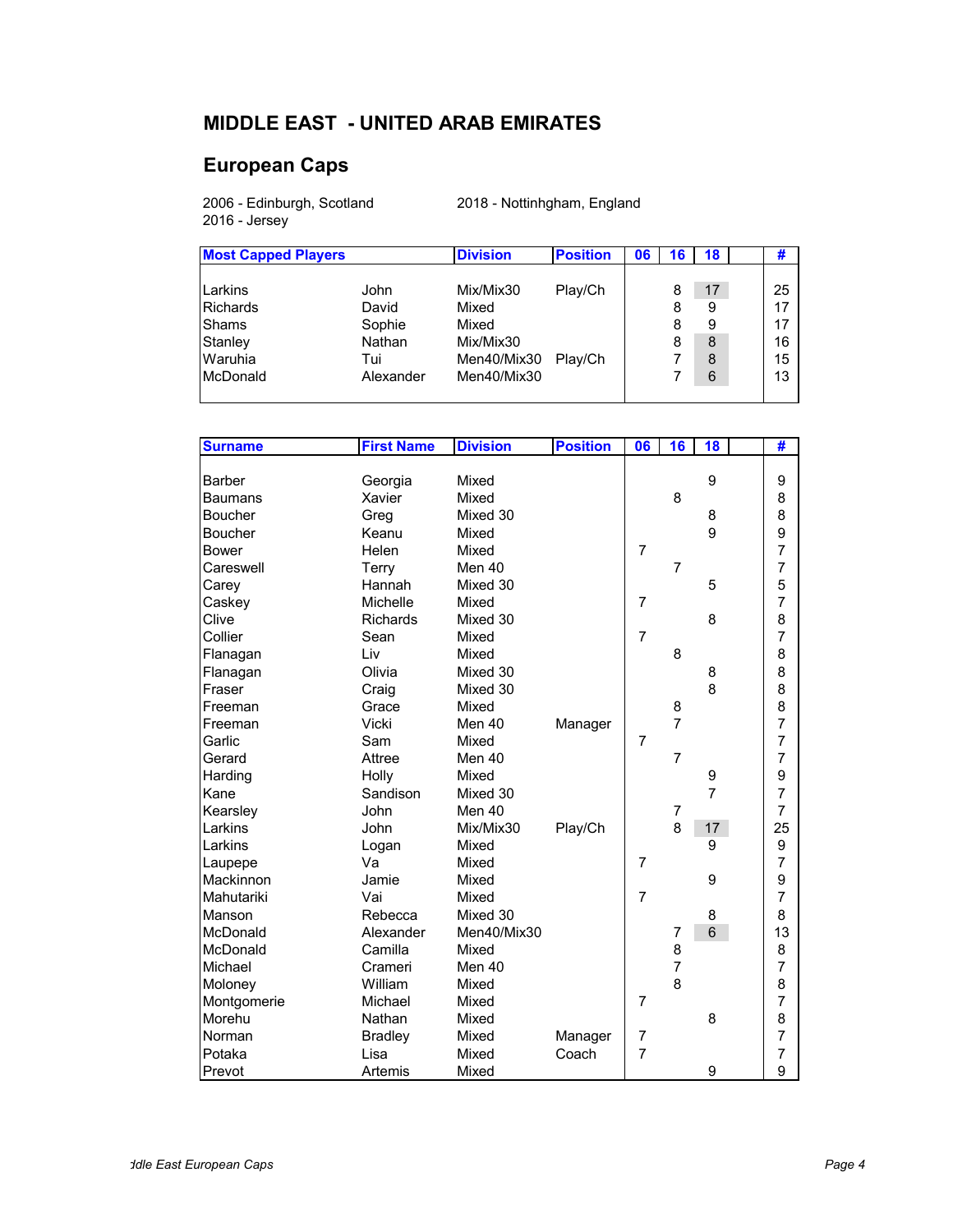# **MIDDLE EAST - UNITED ARAB EMIRATES**

### **European Caps**

2006 - Edinburgh, Scotland 2018 - Nottinhgham, England 2016 - Jersey

| <b>Most Capped Players</b>  |                         | <b>Division</b>                   | <b>Position</b> | 06 | 16     | 18          | #              |
|-----------------------------|-------------------------|-----------------------------------|-----------------|----|--------|-------------|----------------|
| Larkins<br><b>Richards</b>  | John<br>David           | Mix/Mix30<br>Mixed                | Play/Ch         |    | 8<br>8 | 17<br>9     | 25<br>17       |
| Shams<br>Stanley<br>Waruhia | Sophie<br>Nathan<br>Tui | Mixed<br>Mix/Mix30<br>Men40/Mix30 | Play/Ch         |    | 8<br>8 | 9<br>8<br>8 | 17<br>16<br>15 |
| McDonald                    | Alexander               | Men40/Mix30                       |                 |    |        | 6           | 13             |

| <b>Surname</b> | <b>First Name</b> | <b>Division</b> | <b>Position</b> | 06             | 16             | 18             | #              |
|----------------|-------------------|-----------------|-----------------|----------------|----------------|----------------|----------------|
|                |                   |                 |                 |                |                |                |                |
| <b>Barber</b>  | Georgia           | Mixed           |                 |                |                | 9              | 9              |
| <b>Baumans</b> | Xavier            | Mixed           |                 |                | 8              |                | 8              |
| Boucher        | Greg              | Mixed 30        |                 |                |                | 8              | 8              |
| Boucher        | Keanu             | Mixed           |                 |                |                | 9              | 9              |
| <b>Bower</b>   | Helen             | Mixed           |                 | $\overline{7}$ |                |                | $\overline{7}$ |
| Careswell      | Terry             | Men 40          |                 |                | $\overline{7}$ |                | $\overline{7}$ |
| Carey          | Hannah            | Mixed 30        |                 |                |                | 5              | 5              |
| Caskey         | Michelle          | Mixed           |                 | $\overline{7}$ |                |                | $\overline{7}$ |
| Clive          | Richards          | Mixed 30        |                 |                |                | 8              | 8              |
| Collier        | Sean              | Mixed           |                 | $\overline{7}$ |                |                | $\overline{7}$ |
| Flanagan       | Liv               | Mixed           |                 |                | 8              |                | 8              |
| Flanagan       | Olivia            | Mixed 30        |                 |                |                | 8              | 8              |
| Fraser         | Craig             | Mixed 30        |                 |                |                | 8              | 8              |
| Freeman        | Grace             | Mixed           |                 |                | 8              |                | 8              |
| Freeman        | Vicki             | Men 40          | Manager         |                | $\overline{7}$ |                | $\overline{7}$ |
| Garlic         | Sam               | Mixed           |                 | $\overline{7}$ |                |                | $\overline{7}$ |
| Gerard         | Attree            | Men 40          |                 |                | 7              |                | $\overline{7}$ |
| Harding        | Holly             | Mixed           |                 |                |                | 9              | 9              |
| Kane           | Sandison          | Mixed 30        |                 |                |                | $\overline{7}$ | $\overline{7}$ |
| Kearsley       | John              | Men 40          |                 |                | 7              |                | $\overline{7}$ |
| Larkins        | John              | Mix/Mix30       | Play/Ch         |                | 8              | 17             | 25             |
| Larkins        | Logan             | Mixed           |                 |                |                | 9              | 9              |
| Laupepe        | Va                | Mixed           |                 | $\overline{7}$ |                |                | $\overline{7}$ |
| Mackinnon      | Jamie             | Mixed           |                 |                |                | 9              | 9              |
| Mahutariki     | Vai               | Mixed           |                 | $\overline{7}$ |                |                | $\overline{7}$ |
| Manson         | Rebecca           | Mixed 30        |                 |                |                | 8              | 8              |
| McDonald       | Alexander         | Men40/Mix30     |                 |                | 7              | 6              | 13             |
| McDonald       | Camilla           | Mixed           |                 |                | 8              |                | 8              |
| Michael        | Crameri           | Men 40          |                 |                | 7              |                | $\overline{7}$ |
| Moloney        | William           | Mixed           |                 |                | 8              |                | 8              |
| Montgomerie    | Michael           | Mixed           |                 | $\overline{7}$ |                |                | $\overline{7}$ |
| Morehu         | Nathan            | Mixed           |                 |                |                | 8              | 8              |
| Norman         | <b>Bradley</b>    | Mixed           | Manager         | 7              |                |                | $\overline{7}$ |
| Potaka         | Lisa              | Mixed           | Coach           | 7              |                |                | $\overline{7}$ |
| Prevot         | Artemis           | Mixed           |                 |                |                | 9              | 9              |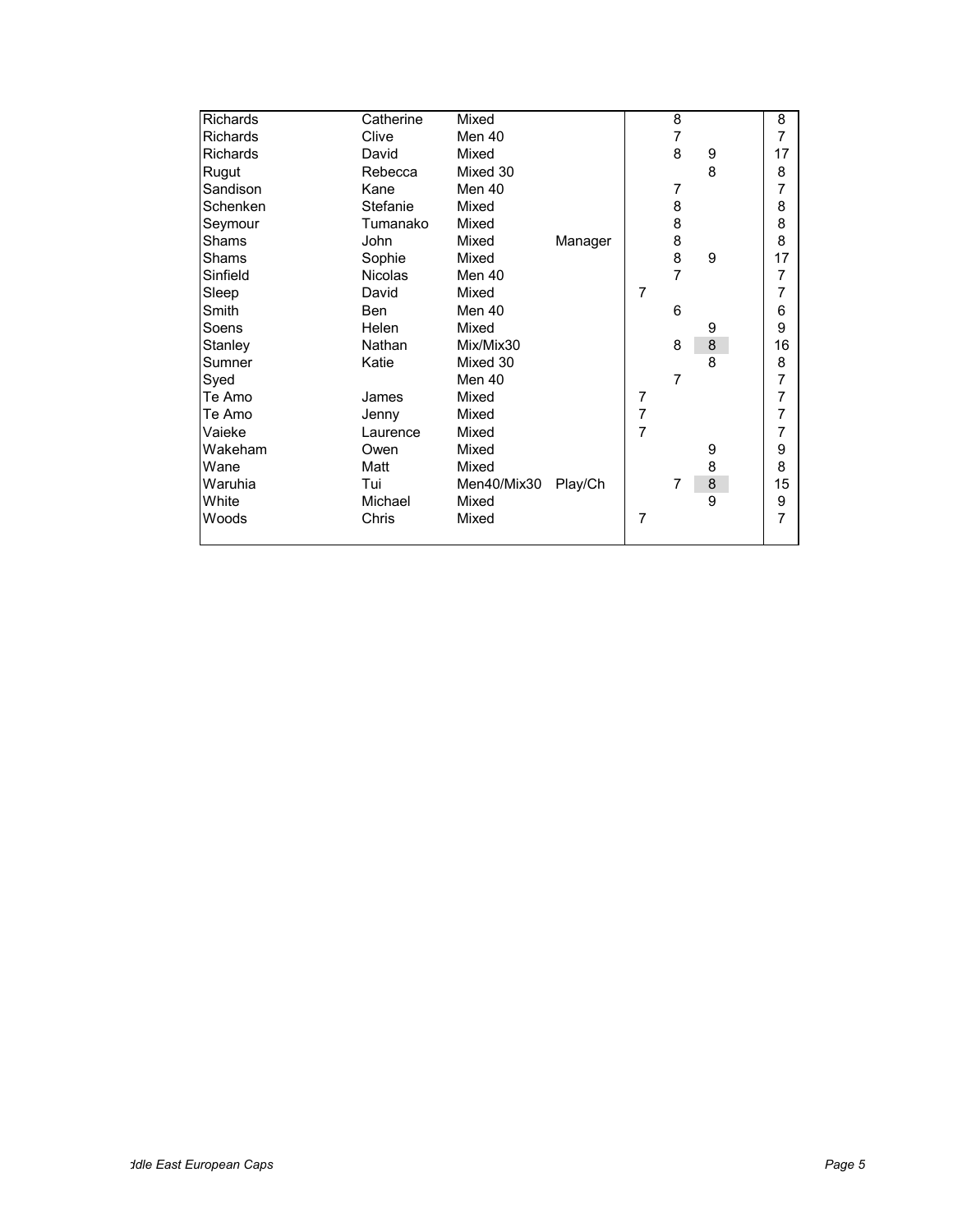| Richards        | Catherine      | Mixed       |         |                | 8              |         | 8              |
|-----------------|----------------|-------------|---------|----------------|----------------|---------|----------------|
| <b>Richards</b> | Clive          | Men 40      |         |                | 7              |         | $\overline{7}$ |
| <b>Richards</b> | David          | Mixed       |         |                | 8              | 9       | 17             |
| Rugut           | Rebecca        | Mixed 30    |         |                |                | 8       | 8              |
| Sandison        | Kane           | Men 40      |         |                | 7              |         | 7              |
| Schenken        | Stefanie       | Mixed       |         |                | 8              |         | 8              |
| Seymour         | Tumanako       | Mixed       |         |                | 8              |         | 8              |
| Shams           | John           | Mixed       | Manager |                | 8              |         | 8              |
| Shams           | Sophie         | Mixed       |         |                | 8              | 9       | 17             |
| Sinfield        | <b>Nicolas</b> | Men 40      |         |                | $\overline{7}$ |         | 7              |
| Sleep           | David          | Mixed       |         | $\overline{7}$ |                |         | 7              |
| Smith           | <b>Ben</b>     | Men 40      |         |                | 6              |         | 6              |
| Soens           | Helen          | Mixed       |         |                |                | 9       | 9              |
| Stanley         | Nathan         | Mix/Mix30   |         |                | 8              | $\bf 8$ | 16             |
| Sumner          | Katie          | Mixed 30    |         |                |                | 8       | 8              |
| Syed            |                | Men 40      |         |                | 7              |         | 7              |
| Te Amo          | James          | Mixed       |         | $\overline{7}$ |                |         | 7              |
| Te Amo          | Jenny          | Mixed       |         | $\overline{7}$ |                |         | 7              |
| Vaieke          | Laurence       | Mixed       |         | $\overline{7}$ |                |         | 7              |
| Wakeham         | Owen           | Mixed       |         |                |                | 9       | 9              |
| Wane            | Matt           | Mixed       |         |                |                | 8       | 8              |
| Waruhia         | Tui            | Men40/Mix30 | Play/Ch |                | 7              | $\bf8$  | 15             |
| White           | Michael        | Mixed       |         |                |                | 9       | 9              |
| Woods           | Chris          | Mixed       |         | $\overline{7}$ |                |         | 7              |
|                 |                |             |         |                |                |         |                |